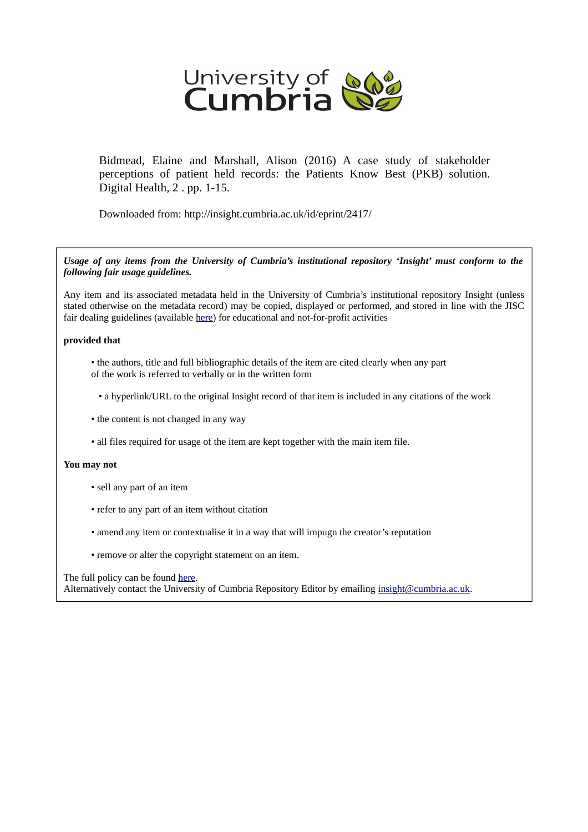

Bidmead, Elaine and Marshall, Alison (2016) A case study of stakeholder perceptions of patient held records: the Patients Know Best (PKB) solution. Digital Health, 2 . pp. 1-15.

Downloaded from: http://insight.cumbria.ac.uk/id/eprint/2417/

*Usage of any items from the University of Cumbria's institutional repository 'Insight' must conform to the following fair usage guidelines.*

Any item and its associated metadata held in the University of Cumbria's institutional repository Insight (unless stated otherwise on the metadata record) may be copied, displayed or performed, and stored in line with the JISC fair dealing guidelines (available [here\)](http://www.ukoln.ac.uk/services/elib/papers/pa/fair/) for educational and not-for-profit activities

# **provided that**

• the authors, title and full bibliographic details of the item are cited clearly when any part of the work is referred to verbally or in the written form

• a hyperlink/URL to the original Insight record of that item is included in any citations of the work

- the content is not changed in any way
- all files required for usage of the item are kept together with the main item file.

## **You may not**

- sell any part of an item
- refer to any part of an item without citation
- amend any item or contextualise it in a way that will impugn the creator's reputation
- remove or alter the copyright statement on an item.

## The full policy can be found [here.](http://insight.cumbria.ac.uk/legal.html#section5)

Alternatively contact the University of Cumbria Repository Editor by emailing [insight@cumbria.ac.uk.](mailto:insight@cumbria.ac.uk)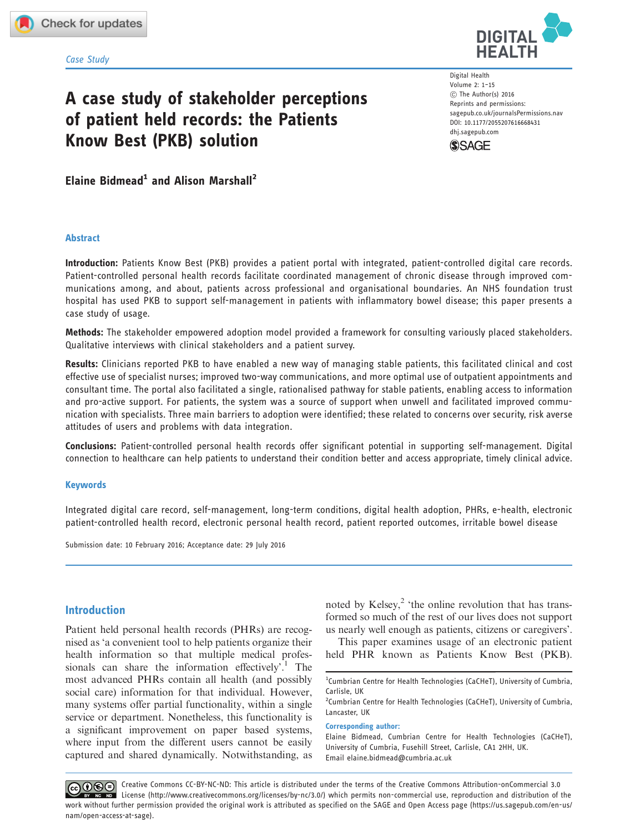

# A case study of stakeholder perceptions of patient held records: the Patients Know Best (PKB) solution

Digital Health Volume 2: 1–15 C The Author(s) 2016 Reprints and permissions: sagepub.co.uk/journalsPermissions.nav DOI: 10.1177/2055207616668431 dhj.sagepub.com



Elaine Bidmead<sup>1</sup> and Alison Marshall<sup>2</sup>

## Abstract

Introduction: Patients Know Best (PKB) provides a patient portal with integrated, patient-controlled digital care records. Patient-controlled personal health records facilitate coordinated management of chronic disease through improved communications among, and about, patients across professional and organisational boundaries. An NHS foundation trust hospital has used PKB to support self-management in patients with inflammatory bowel disease; this paper presents a case study of usage.

Methods: The stakeholder empowered adoption model provided a framework for consulting variously placed stakeholders. Qualitative interviews with clinical stakeholders and a patient survey.

Results: Clinicians reported PKB to have enabled a new way of managing stable patients, this facilitated clinical and cost effective use of specialist nurses; improved two-way communications, and more optimal use of outpatient appointments and consultant time. The portal also facilitated a single, rationalised pathway for stable patients, enabling access to information and pro-active support. For patients, the system was a source of support when unwell and facilitated improved communication with specialists. Three main barriers to adoption were identified; these related to concerns over security, risk averse attitudes of users and problems with data integration.

Conclusions: Patient-controlled personal health records offer significant potential in supporting self-management. Digital connection to healthcare can help patients to understand their condition better and access appropriate, timely clinical advice.

## Keywords

Integrated digital care record, self-management, long-term conditions, digital health adoption, PHRs, e-health, electronic patient-controlled health record, electronic personal health record, patient reported outcomes, irritable bowel disease

Submission date: 10 February 2016; Acceptance date: 29 July 2016

# Introduction

Patient held personal health records (PHRs) are recognised as 'a convenient tool to help patients organize their health information so that multiple medical professionals can share the information effectively'.<sup>1</sup> The most advanced PHRs contain all health (and possibly social care) information for that individual. However, many systems offer partial functionality, within a single service or department. Nonetheless, this functionality is a significant improvement on paper based systems, where input from the different users cannot be easily captured and shared dynamically. Notwithstanding, as noted by Kelsey, $2$  'the online revolution that has transformed so much of the rest of our lives does not support us nearly well enough as patients, citizens or caregivers'.

This paper examines usage of an electronic patient held PHR known as Patients Know Best (PKB).

Corresponding author:

Creative Commons CC-BY-NC-ND: This article is distributed under the terms of the Creative Commons Attribution-onCommercial 3.0 ெ⊕ெ License (http://www.creativecommons.org/licenses/by-nc/3.0/) which permits non-commercial use, reproduction and distribution of the work without further permission provided the original work is attributed as specified on the SAGE and Open Access page (https://us.sagepub.com/en-us/ nam/open-access-at-sage).

<sup>&</sup>lt;sup>1</sup>Cumbrian Centre for Health Technologies (CaCHeT), University of Cumbria, Carlisle, UK

<sup>&</sup>lt;sup>2</sup>Cumbrian Centre for Health Technologies (CaCHeT), University of Cumbria, Lancaster, UK

Elaine Bidmead, Cumbrian Centre for Health Technologies (CaCHeT), University of Cumbria, Fusehill Street, Carlisle, CA1 2HH, UK. Email elaine.bidmead@cumbria.ac.uk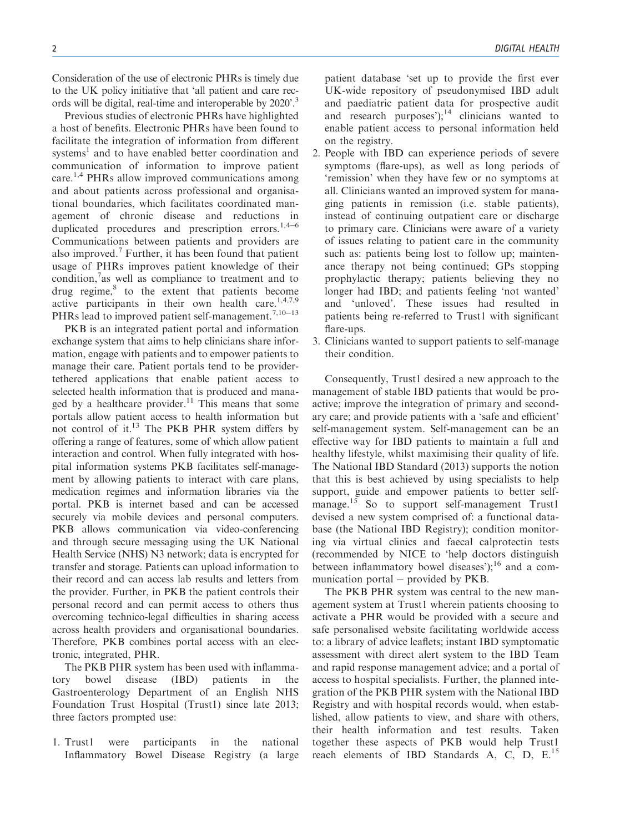Consideration of the use of electronic PHRs is timely due to the UK policy initiative that 'all patient and care records will be digital, real-time and interoperable by 2020'.3

Previous studies of electronic PHRs have highlighted a host of benefits. Electronic PHRs have been found to facilitate the integration of information from different systems<sup>1</sup> and to have enabled better coordination and communication of information to improve patient care.<sup>1,4</sup> PHRs allow improved communications among and about patients across professional and organisational boundaries, which facilitates coordinated management of chronic disease and reductions in duplicated procedures and prescription errors.<sup>1,4-6</sup> Communications between patients and providers are also improved. $<sup>7</sup>$  Further, it has been found that patient</sup> usage of PHRs improves patient knowledge of their condition,<sup>7</sup>as well as compliance to treatment and to drug regime, $8$  to the extent that patients become active participants in their own health care.<sup>1,4,7,9</sup> PHRs lead to improved patient self-management.<sup>7,10-13</sup>

PKB is an integrated patient portal and information exchange system that aims to help clinicians share information, engage with patients and to empower patients to manage their care. Patient portals tend to be providertethered applications that enable patient access to selected health information that is produced and managed by a healthcare provider.<sup>11</sup> This means that some portals allow patient access to health information but not control of it. $13$  The PKB PHR system differs by offering a range of features, some of which allow patient interaction and control. When fully integrated with hospital information systems PKB facilitates self-management by allowing patients to interact with care plans, medication regimes and information libraries via the portal. PKB is internet based and can be accessed securely via mobile devices and personal computers. PKB allows communication via video-conferencing and through secure messaging using the UK National Health Service (NHS) N3 network; data is encrypted for transfer and storage. Patients can upload information to their record and can access lab results and letters from the provider. Further, in PKB the patient controls their personal record and can permit access to others thus overcoming technico-legal difficulties in sharing access across health providers and organisational boundaries. Therefore, PKB combines portal access with an electronic, integrated, PHR.

The PKB PHR system has been used with inflammatory bowel disease (IBD) patients in the Gastroenterology Department of an English NHS Foundation Trust Hospital (Trust1) since late 2013; three factors prompted use:

1. Trust1 were participants in the national Inflammatory Bowel Disease Registry (a large patient database 'set up to provide the first ever UK-wide repository of pseudonymised IBD adult and paediatric patient data for prospective audit and research purposes');<sup>14</sup> clinicians wanted to enable patient access to personal information held on the registry.

- 2. People with IBD can experience periods of severe symptoms (flare-ups), as well as long periods of 'remission' when they have few or no symptoms at all. Clinicians wanted an improved system for managing patients in remission (i.e. stable patients), instead of continuing outpatient care or discharge to primary care. Clinicians were aware of a variety of issues relating to patient care in the community such as: patients being lost to follow up; maintenance therapy not being continued; GPs stopping prophylactic therapy; patients believing they no longer had IBD; and patients feeling 'not wanted' and 'unloved'. These issues had resulted in patients being re-referred to Trust1 with significant flare-ups.
- 3. Clinicians wanted to support patients to self-manage their condition.

Consequently, Trust1 desired a new approach to the management of stable IBD patients that would be proactive; improve the integration of primary and secondary care; and provide patients with a 'safe and efficient' self-management system. Self-management can be an effective way for IBD patients to maintain a full and healthy lifestyle, whilst maximising their quality of life. The National IBD Standard (2013) supports the notion that this is best achieved by using specialists to help support, guide and empower patients to better selfmanage.<sup>15</sup> So to support self-management Trust1 devised a new system comprised of: a functional database (the National IBD Registry); condition monitoring via virtual clinics and faecal calprotectin tests (recommended by NICE to 'help doctors distinguish between inflammatory bowel diseases'); $^{16}$  and a communication portal – provided by PKB.

The PKB PHR system was central to the new management system at Trust1 wherein patients choosing to activate a PHR would be provided with a secure and safe personalised website facilitating worldwide access to: a library of advice leaflets; instant IBD symptomatic assessment with direct alert system to the IBD Team and rapid response management advice; and a portal of access to hospital specialists. Further, the planned integration of the PKB PHR system with the National IBD Registry and with hospital records would, when established, allow patients to view, and share with others, their health information and test results. Taken together these aspects of PKB would help Trust1 reach elements of IBD Standards A, C, D, E.<sup>15</sup>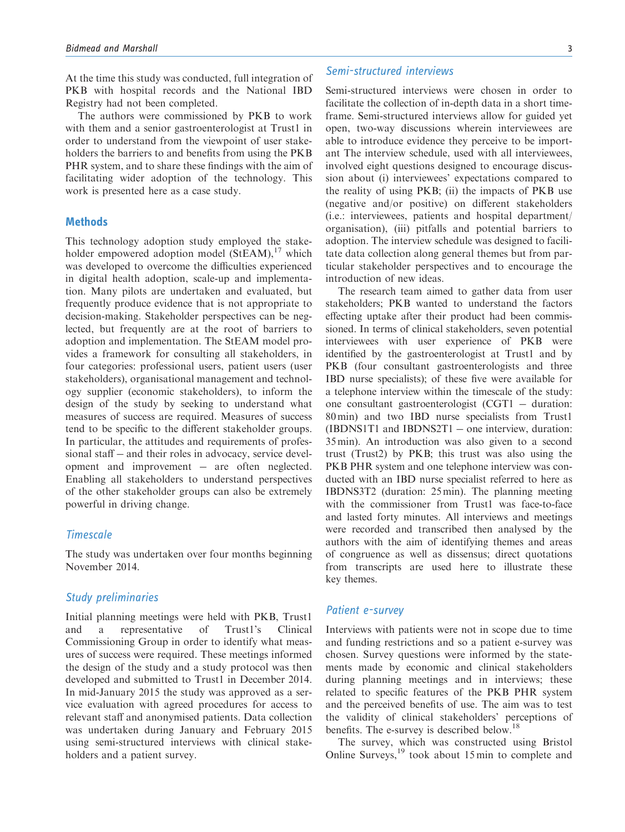At the time this study was conducted, full integration of PKB with hospital records and the National IBD Registry had not been completed.

The authors were commissioned by PKB to work with them and a senior gastroenterologist at Trust1 in order to understand from the viewpoint of user stakeholders the barriers to and benefits from using the PKB PHR system, and to share these findings with the aim of facilitating wider adoption of the technology. This work is presented here as a case study.

#### **Methods**

This technology adoption study employed the stakeholder empowered adoption model  $(StEAM)$ ,<sup>17</sup> which was developed to overcome the difficulties experienced in digital health adoption, scale-up and implementation. Many pilots are undertaken and evaluated, but frequently produce evidence that is not appropriate to decision-making. Stakeholder perspectives can be neglected, but frequently are at the root of barriers to adoption and implementation. The StEAM model provides a framework for consulting all stakeholders, in four categories: professional users, patient users (user stakeholders), organisational management and technology supplier (economic stakeholders), to inform the design of the study by seeking to understand what measures of success are required. Measures of success tend to be specific to the different stakeholder groups. In particular, the attitudes and requirements of professional staff – and their roles in advocacy, service development and improvement – are often neglected. Enabling all stakeholders to understand perspectives of the other stakeholder groups can also be extremely powerful in driving change.

## **Timescale**

The study was undertaken over four months beginning November 2014.

## Study preliminaries

Initial planning meetings were held with PKB, Trust1 and a representative of Trust1's Clinical Commissioning Group in order to identify what measures of success were required. These meetings informed the design of the study and a study protocol was then developed and submitted to Trust1 in December 2014. In mid-January 2015 the study was approved as a service evaluation with agreed procedures for access to relevant staff and anonymised patients. Data collection was undertaken during January and February 2015 using semi-structured interviews with clinical stakeholders and a patient survey.

# Semi-structured interviews

Semi-structured interviews were chosen in order to facilitate the collection of in-depth data in a short timeframe. Semi-structured interviews allow for guided yet open, two-way discussions wherein interviewees are able to introduce evidence they perceive to be important The interview schedule, used with all interviewees, involved eight questions designed to encourage discussion about (i) interviewees' expectations compared to the reality of using PKB; (ii) the impacts of PKB use (negative and/or positive) on different stakeholders (i.e.: interviewees, patients and hospital department/ organisation), (iii) pitfalls and potential barriers to adoption. The interview schedule was designed to facilitate data collection along general themes but from particular stakeholder perspectives and to encourage the introduction of new ideas.

The research team aimed to gather data from user stakeholders; PKB wanted to understand the factors effecting uptake after their product had been commissioned. In terms of clinical stakeholders, seven potential interviewees with user experience of PKB were identified by the gastroenterologist at Trust1 and by PKB (four consultant gastroenterologists and three IBD nurse specialists); of these five were available for a telephone interview within the timescale of the study: one consultant gastroenterologist (CGT1 - duration: 80 min) and two IBD nurse specialists from Trust1 (IBDNS1T1 and IBDNS2T1 - one interview, duration: 35 min). An introduction was also given to a second trust (Trust2) by PKB; this trust was also using the PKB PHR system and one telephone interview was conducted with an IBD nurse specialist referred to here as IBDNS3T2 (duration: 25 min). The planning meeting with the commissioner from Trust1 was face-to-face and lasted forty minutes. All interviews and meetings were recorded and transcribed then analysed by the authors with the aim of identifying themes and areas of congruence as well as dissensus; direct quotations from transcripts are used here to illustrate these key themes.

#### Patient e-survey

Interviews with patients were not in scope due to time and funding restrictions and so a patient e-survey was chosen. Survey questions were informed by the statements made by economic and clinical stakeholders during planning meetings and in interviews; these related to specific features of the PKB PHR system and the perceived benefits of use. The aim was to test the validity of clinical stakeholders' perceptions of benefits. The e-survey is described below.<sup>18</sup>

The survey, which was constructed using Bristol Online Surveys, $19$  took about 15 min to complete and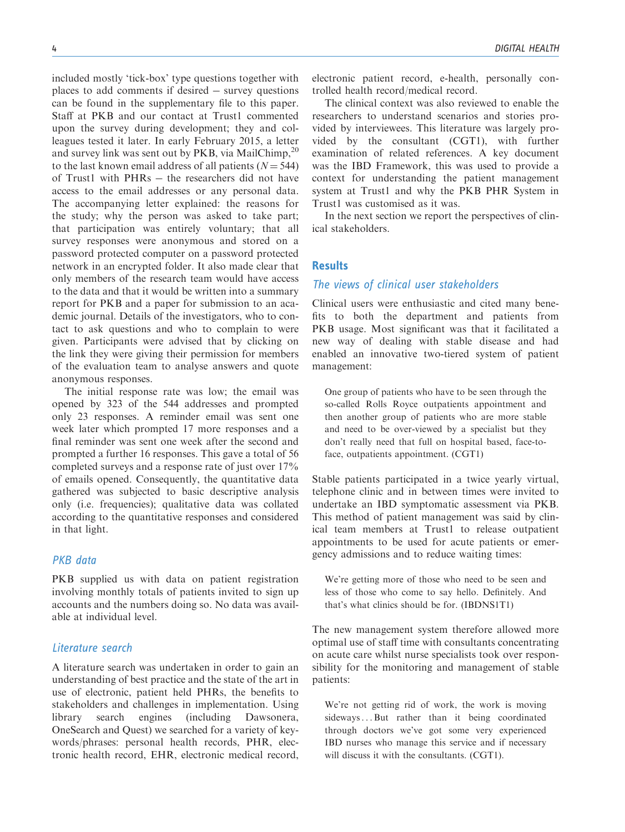included mostly 'tick-box' type questions together with places to add comments if desired - survey questions can be found in the supplementary file to this paper. Staff at PKB and our contact at Trust1 commented upon the survey during development; they and colleagues tested it later. In early February 2015, a letter and survey link was sent out by  $PKB$ , via MailChimp,<sup>20</sup> to the last known email address of all patients  $(N = 544)$ of Trust1 with PHRs - the researchers did not have access to the email addresses or any personal data. The accompanying letter explained: the reasons for the study; why the person was asked to take part; that participation was entirely voluntary; that all survey responses were anonymous and stored on a password protected computer on a password protected network in an encrypted folder. It also made clear that only members of the research team would have access to the data and that it would be written into a summary report for PKB and a paper for submission to an academic journal. Details of the investigators, who to contact to ask questions and who to complain to were given. Participants were advised that by clicking on the link they were giving their permission for members of the evaluation team to analyse answers and quote anonymous responses.

The initial response rate was low; the email was opened by 323 of the 544 addresses and prompted only 23 responses. A reminder email was sent one week later which prompted 17 more responses and a final reminder was sent one week after the second and prompted a further 16 responses. This gave a total of 56 completed surveys and a response rate of just over 17% of emails opened. Consequently, the quantitative data gathered was subjected to basic descriptive analysis only (i.e. frequencies); qualitative data was collated according to the quantitative responses and considered in that light.

# PKB data

PKB supplied us with data on patient registration involving monthly totals of patients invited to sign up accounts and the numbers doing so. No data was available at individual level.

# Literature search

A literature search was undertaken in order to gain an understanding of best practice and the state of the art in use of electronic, patient held PHRs, the benefits to stakeholders and challenges in implementation. Using library search engines (including Dawsonera, OneSearch and Quest) we searched for a variety of keywords/phrases: personal health records, PHR, electronic health record, EHR, electronic medical record,

The clinical context was also reviewed to enable the researchers to understand scenarios and stories provided by interviewees. This literature was largely provided by the consultant (CGT1), with further examination of related references. A key document was the IBD Framework, this was used to provide a context for understanding the patient management system at Trust1 and why the PKB PHR System in Trust1 was customised as it was.

In the next section we report the perspectives of clinical stakeholders.

# **Results**

## The views of clinical user stakeholders

Clinical users were enthusiastic and cited many benefits to both the department and patients from PKB usage. Most significant was that it facilitated a new way of dealing with stable disease and had enabled an innovative two-tiered system of patient management:

One group of patients who have to be seen through the so-called Rolls Royce outpatients appointment and then another group of patients who are more stable and need to be over-viewed by a specialist but they don't really need that full on hospital based, face-toface, outpatients appointment. (CGT1)

Stable patients participated in a twice yearly virtual, telephone clinic and in between times were invited to undertake an IBD symptomatic assessment via PKB. This method of patient management was said by clinical team members at Trust1 to release outpatient appointments to be used for acute patients or emergency admissions and to reduce waiting times:

We're getting more of those who need to be seen and less of those who come to say hello. Definitely. And that's what clinics should be for. (IBDNS1T1)

The new management system therefore allowed more optimal use of staff time with consultants concentrating on acute care whilst nurse specialists took over responsibility for the monitoring and management of stable patients:

We're not getting rid of work, the work is moving sideways...But rather than it being coordinated through doctors we've got some very experienced IBD nurses who manage this service and if necessary will discuss it with the consultants. (CGT1).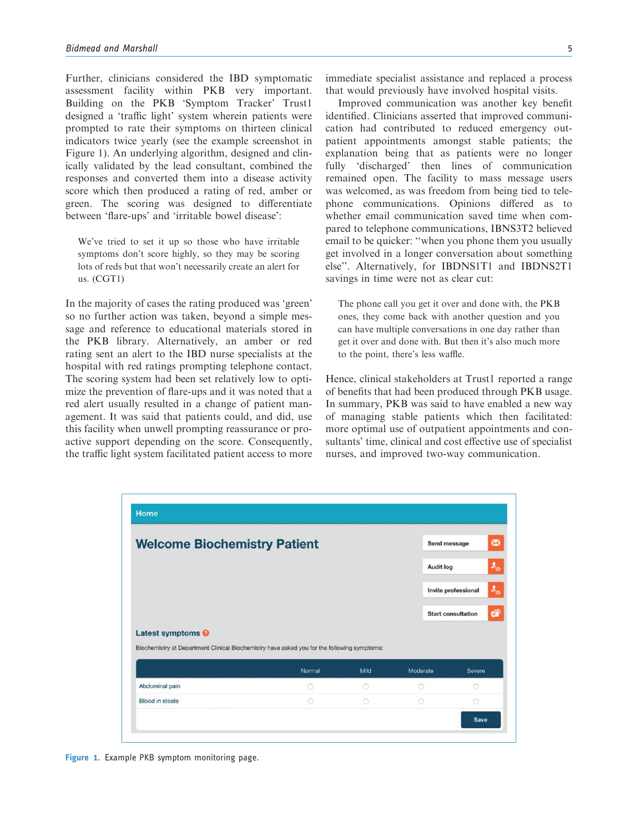Further, clinicians considered the IBD symptomatic assessment facility within PKB very important. Building on the PKB 'Symptom Tracker' Trust1 designed a 'traffic light' system wherein patients were prompted to rate their symptoms on thirteen clinical indicators twice yearly (see the example screenshot in Figure 1). An underlying algorithm, designed and clinically validated by the lead consultant, combined the responses and converted them into a disease activity score which then produced a rating of red, amber or green. The scoring was designed to differentiate between 'flare-ups' and 'irritable bowel disease':

We've tried to set it up so those who have irritable symptoms don't score highly, so they may be scoring lots of reds but that won't necessarily create an alert for us. (CGT1)

In the majority of cases the rating produced was 'green' so no further action was taken, beyond a simple message and reference to educational materials stored in the PKB library. Alternatively, an amber or red rating sent an alert to the IBD nurse specialists at the hospital with red ratings prompting telephone contact. The scoring system had been set relatively low to optimize the prevention of flare-ups and it was noted that a red alert usually resulted in a change of patient management. It was said that patients could, and did, use this facility when unwell prompting reassurance or proactive support depending on the score. Consequently, the traffic light system facilitated patient access to more immediate specialist assistance and replaced a process that would previously have involved hospital visits.

Improved communication was another key benefit identified. Clinicians asserted that improved communication had contributed to reduced emergency outpatient appointments amongst stable patients; the explanation being that as patients were no longer fully 'discharged' then lines of communication remained open. The facility to mass message users was welcomed, as was freedom from being tied to telephone communications. Opinions differed as to whether email communication saved time when compared to telephone communications, IBNS3T2 believed email to be quicker: ''when you phone them you usually get involved in a longer conversation about something else''. Alternatively, for IBDNS1T1 and IBDNS2T1 savings in time were not as clear cut:

The phone call you get it over and done with, the PKB ones, they come back with another question and you can have multiple conversations in one day rather than get it over and done with. But then it's also much more to the point, there's less waffle.

Hence, clinical stakeholders at Trust1 reported a range of benefits that had been produced through PKB usage. In summary, PKB was said to have enabled a new way of managing stable patients which then facilitated: more optimal use of outpatient appointments and consultants' time, clinical and cost effective use of specialist nurses, and improved two-way communication.

| <b>Welcome Biochemistry Patient</b>                                                                                     |        |      |                  | X<br>Send message                  |
|-------------------------------------------------------------------------------------------------------------------------|--------|------|------------------|------------------------------------|
|                                                                                                                         |        |      | <b>Audit log</b> | $\mathbf{J}_{\mathrm{m}}$          |
|                                                                                                                         |        |      |                  | $s_{\rm e}$<br>Invite professional |
|                                                                                                                         |        |      |                  |                                    |
|                                                                                                                         |        |      |                  | Θ<br><b>Start consultation</b>     |
| <b>Latest symptoms O</b><br>Biochemistry at Department Clinical Biochemistry have asked you for the following symptoms: |        |      |                  |                                    |
|                                                                                                                         | Normal | Mild | Moderate         | Severe                             |
| Abdominal pain                                                                                                          | O      | O    | O                |                                    |

Figure 1. Example PKB symptom monitoring page.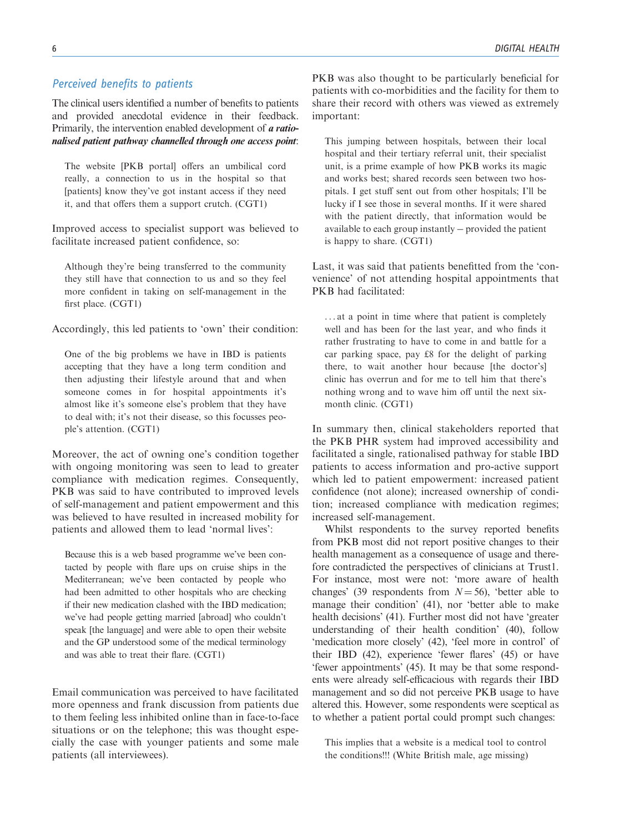# Perceived benefits to patients

The clinical users identified a number of benefits to patients and provided anecdotal evidence in their feedback. Primarily, the intervention enabled development of *a ratio*nalised patient pathway channelled through one access point:

The website [PKB portal] offers an umbilical cord really, a connection to us in the hospital so that [patients] know they've got instant access if they need it, and that offers them a support crutch. (CGT1)

Improved access to specialist support was believed to facilitate increased patient confidence, so:

Although they're being transferred to the community they still have that connection to us and so they feel more confident in taking on self-management in the first place. (CGT1)

Accordingly, this led patients to 'own' their condition:

One of the big problems we have in IBD is patients accepting that they have a long term condition and then adjusting their lifestyle around that and when someone comes in for hospital appointments it's almost like it's someone else's problem that they have to deal with; it's not their disease, so this focusses people's attention. (CGT1)

Moreover, the act of owning one's condition together with ongoing monitoring was seen to lead to greater compliance with medication regimes. Consequently, PKB was said to have contributed to improved levels of self-management and patient empowerment and this was believed to have resulted in increased mobility for patients and allowed them to lead 'normal lives':

Because this is a web based programme we've been contacted by people with flare ups on cruise ships in the Mediterranean; we've been contacted by people who had been admitted to other hospitals who are checking if their new medication clashed with the IBD medication; we've had people getting married [abroad] who couldn't speak [the language] and were able to open their website and the GP understood some of the medical terminology and was able to treat their flare. (CGT1)

Email communication was perceived to have facilitated more openness and frank discussion from patients due to them feeling less inhibited online than in face-to-face situations or on the telephone; this was thought especially the case with younger patients and some male patients (all interviewees).

PKB was also thought to be particularly beneficial for patients with co-morbidities and the facility for them to share their record with others was viewed as extremely important:

This jumping between hospitals, between their local hospital and their tertiary referral unit, their specialist unit, is a prime example of how PKB works its magic and works best; shared records seen between two hospitals. I get stuff sent out from other hospitals; I'll be lucky if I see those in several months. If it were shared with the patient directly, that information would be available to each group instantly – provided the patient is happy to share. (CGT1)

Last, it was said that patients benefitted from the 'convenience' of not attending hospital appointments that PKB had facilitated:

... at a point in time where that patient is completely well and has been for the last year, and who finds it rather frustrating to have to come in and battle for a car parking space, pay £8 for the delight of parking there, to wait another hour because [the doctor's] clinic has overrun and for me to tell him that there's nothing wrong and to wave him off until the next sixmonth clinic. (CGT1)

In summary then, clinical stakeholders reported that the PKB PHR system had improved accessibility and facilitated a single, rationalised pathway for stable IBD patients to access information and pro-active support which led to patient empowerment: increased patient confidence (not alone); increased ownership of condition; increased compliance with medication regimes; increased self-management.

Whilst respondents to the survey reported benefits from PKB most did not report positive changes to their health management as a consequence of usage and therefore contradicted the perspectives of clinicians at Trust1. For instance, most were not: 'more aware of health changes' (39 respondents from  $N = 56$ ), 'better able to manage their condition' (41), nor 'better able to make health decisions' (41). Further most did not have 'greater understanding of their health condition' (40), follow 'medication more closely' (42), 'feel more in control' of their IBD (42), experience 'fewer flares' (45) or have 'fewer appointments' (45). It may be that some respondents were already self-efficacious with regards their IBD management and so did not perceive PKB usage to have altered this. However, some respondents were sceptical as to whether a patient portal could prompt such changes:

This implies that a website is a medical tool to control the conditions!!! (White British male, age missing)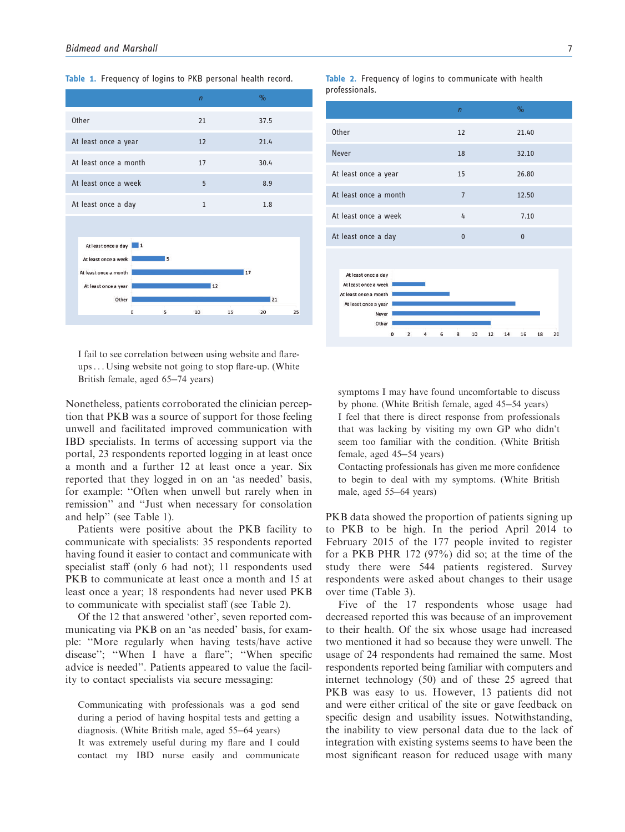

I fail to see correlation between using website and flareups... Using website not going to stop flare-up. (White British female, aged 65-74 years)

Nonetheless, patients corroborated the clinician perception that PKB was a source of support for those feeling unwell and facilitated improved communication with IBD specialists. In terms of accessing support via the portal, 23 respondents reported logging in at least once a month and a further 12 at least once a year. Six reported that they logged in on an 'as needed' basis, for example: ''Often when unwell but rarely when in remission'' and ''Just when necessary for consolation and help'' (see Table 1).

Patients were positive about the PKB facility to communicate with specialists: 35 respondents reported having found it easier to contact and communicate with specialist staff (only 6 had not); 11 respondents used PKB to communicate at least once a month and 15 at least once a year; 18 respondents had never used PKB to communicate with specialist staff (see Table 2).

Of the 12 that answered 'other', seven reported communicating via PKB on an 'as needed' basis, for example: ''More regularly when having tests/have active disease''; ''When I have a flare''; ''When specific advice is needed''. Patients appeared to value the facility to contact specialists via secure messaging:

Communicating with professionals was a god send during a period of having hospital tests and getting a diagnosis. (White British male, aged 55-64 years) It was extremely useful during my flare and I could contact my IBD nurse easily and communicate

Table 2. Frequency of logins to communicate with health professionals.

|                                                                                                                |             |                |   |                | $\mathsf{n}$ |    |       |              | $\frac{0}{0}$ |    |    |
|----------------------------------------------------------------------------------------------------------------|-------------|----------------|---|----------------|--------------|----|-------|--------------|---------------|----|----|
| Other                                                                                                          |             |                |   |                | 12           |    |       | 21.40        |               |    |    |
| <b>Never</b>                                                                                                   |             |                |   | 18             |              |    | 32.10 |              |               |    |    |
| At least once a year                                                                                           |             |                |   | 15             |              |    | 26.80 |              |               |    |    |
| At least once a month                                                                                          |             |                |   | $\overline{7}$ |              |    | 12.50 |              |               |    |    |
| At least once a week                                                                                           |             |                |   | 4              |              |    | 7.10  |              |               |    |    |
| At least once a day                                                                                            |             |                |   | $\mathbf{0}$   |              |    |       | $\mathbf{0}$ |               |    |    |
| At least once a day<br>At least once a week<br>At least once a month<br>At least once a year<br>Never<br>Other |             |                |   |                |              |    |       |              |               |    |    |
|                                                                                                                | $\mathbf 0$ | $\overline{2}$ | 4 | 6              | 8            | 10 | 12    | 14           | 16            | 18 | 20 |

symptoms I may have found uncomfortable to discuss by phone. (White British female, aged 45-54 years) I feel that there is direct response from professionals that was lacking by visiting my own GP who didn't seem too familiar with the condition. (White British female, aged 45-54 years)

Contacting professionals has given me more confidence to begin to deal with my symptoms. (White British male, aged 55-64 years)

PKB data showed the proportion of patients signing up to PKB to be high. In the period April 2014 to February 2015 of the 177 people invited to register for a PKB PHR 172 (97%) did so; at the time of the study there were 544 patients registered. Survey respondents were asked about changes to their usage over time (Table 3).

Five of the 17 respondents whose usage had decreased reported this was because of an improvement to their health. Of the six whose usage had increased two mentioned it had so because they were unwell. The usage of 24 respondents had remained the same. Most respondents reported being familiar with computers and internet technology (50) and of these 25 agreed that PKB was easy to us. However, 13 patients did not and were either critical of the site or gave feedback on specific design and usability issues. Notwithstanding, the inability to view personal data due to the lack of integration with existing systems seems to have been the most significant reason for reduced usage with many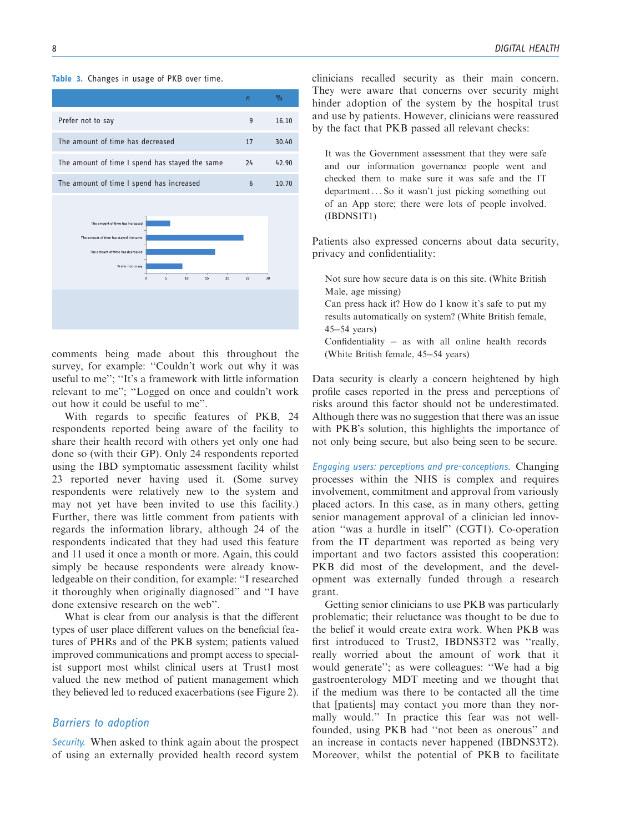It was the Government assessment that they were safe and our information governance people went and checked them to make sure it was safe and the IT department... So it wasn't just picking something out of an App store; there were lots of people involved. (IBDNS1T1)

by the fact that PKB passed all relevant checks:

Patients also expressed concerns about data security, privacy and confidentiality:

Not sure how secure data is on this site. (White British Male, age missing)

Can press hack it? How do I know it's safe to put my results automatically on system? (White British female, 45-54 years)

Confidentiality  $-$  as with all online health records (White British female, 45-54 years)

Data security is clearly a concern heightened by high profile cases reported in the press and perceptions of risks around this factor should not be underestimated. Although there was no suggestion that there was an issue with PKB's solution, this highlights the importance of not only being secure, but also being seen to be secure.

Engaging users: perceptions and pre-conceptions. Changing processes within the NHS is complex and requires involvement, commitment and approval from variously placed actors. In this case, as in many others, getting senior management approval of a clinician led innovation ''was a hurdle in itself'' (CGT1). Co-operation from the IT department was reported as being very important and two factors assisted this cooperation: PKB did most of the development, and the development was externally funded through a research grant.

Getting senior clinicians to use PKB was particularly problematic; their reluctance was thought to be due to the belief it would create extra work. When PKB was first introduced to Trust2, IBDNS3T2 was ''really, really worried about the amount of work that it would generate''; as were colleagues: ''We had a big gastroenterology MDT meeting and we thought that if the medium was there to be contacted all the time that [patients] may contact you more than they normally would.'' In practice this fear was not wellfounded, using PKB had ''not been as onerous'' and an increase in contacts never happened (IBDNS3T2). Moreover, whilst the potential of PKB to facilitate





comments being made about this throughout the survey, for example: "Couldn't work out why it was useful to me''; ''It's a framework with little information relevant to me''; ''Logged on once and couldn't work out how it could be useful to me''.

With regards to specific features of PKB, 24 respondents reported being aware of the facility to share their health record with others yet only one had done so (with their GP). Only 24 respondents reported using the IBD symptomatic assessment facility whilst 23 reported never having used it. (Some survey respondents were relatively new to the system and may not yet have been invited to use this facility.) Further, there was little comment from patients with regards the information library, although 24 of the respondents indicated that they had used this feature and 11 used it once a month or more. Again, this could simply be because respondents were already knowledgeable on their condition, for example: ''I researched it thoroughly when originally diagnosed'' and ''I have done extensive research on the web''.

What is clear from our analysis is that the different types of user place different values on the beneficial features of PHRs and of the PKB system; patients valued improved communications and prompt access to specialist support most whilst clinical users at Trust1 most valued the new method of patient management which they believed led to reduced exacerbations (see Figure 2).

## Barriers to adoption

Security. When asked to think again about the prospect of using an externally provided health record system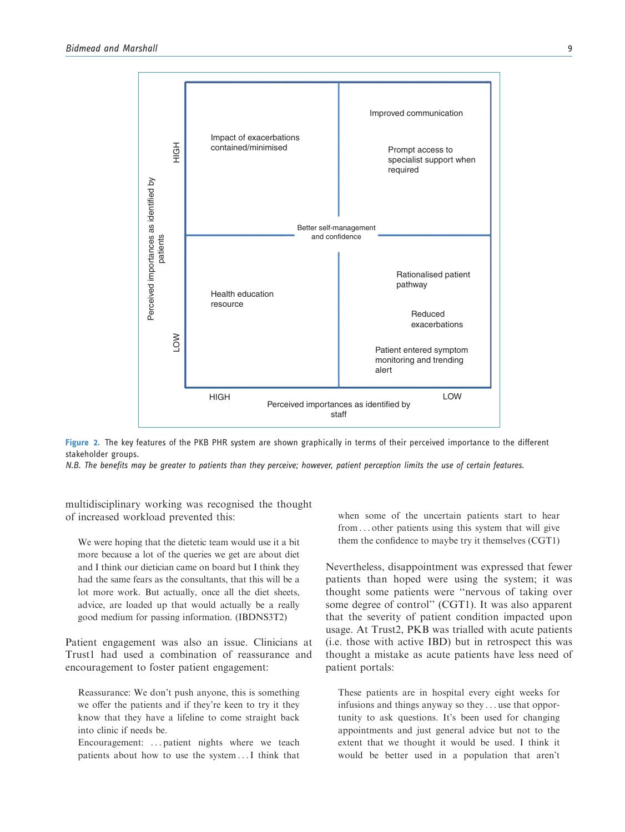



N.B. The benefits may be greater to patients than they perceive; however, patient perception limits the use of certain features.

multidisciplinary working was recognised the thought of increased workload prevented this:

We were hoping that the dietetic team would use it a bit more because a lot of the queries we get are about diet and I think our dietician came on board but I think they had the same fears as the consultants, that this will be a lot more work. But actually, once all the diet sheets, advice, are loaded up that would actually be a really good medium for passing information. (IBDNS3T2)

Patient engagement was also an issue. Clinicians at Trust1 had used a combination of reassurance and encouragement to foster patient engagement:

Reassurance: We don't push anyone, this is something we offer the patients and if they're keen to try it they know that they have a lifeline to come straight back into clinic if needs be.

Encouragement: ... patient nights where we teach patients about how to use the system ...I think that when some of the uncertain patients start to hear from ... other patients using this system that will give them the confidence to maybe try it themselves (CGT1)

Nevertheless, disappointment was expressed that fewer patients than hoped were using the system; it was thought some patients were ''nervous of taking over some degree of control'' (CGT1). It was also apparent that the severity of patient condition impacted upon usage. At Trust2, PKB was trialled with acute patients (i.e. those with active IBD) but in retrospect this was thought a mistake as acute patients have less need of patient portals:

These patients are in hospital every eight weeks for infusions and things anyway so they ... use that opportunity to ask questions. It's been used for changing appointments and just general advice but not to the extent that we thought it would be used. I think it would be better used in a population that aren't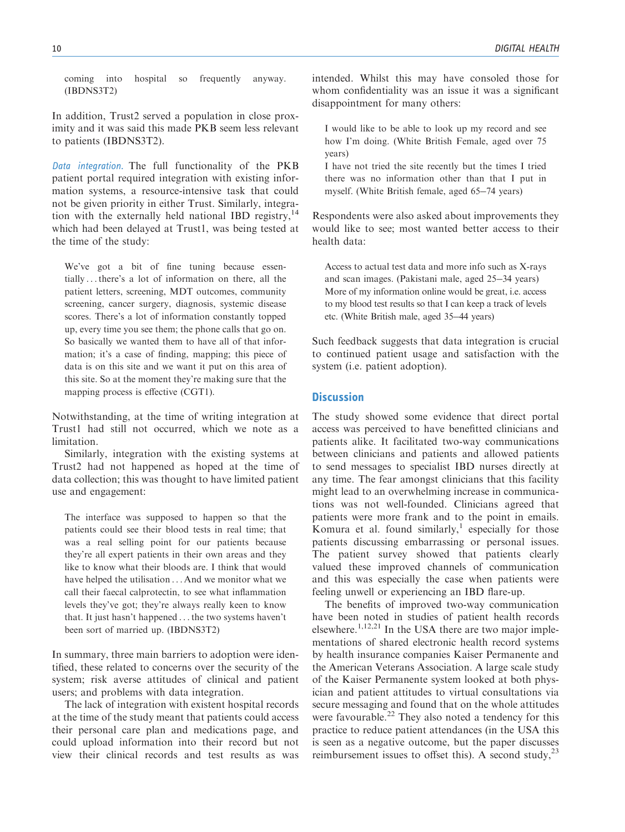coming into hospital so frequently anyway. (IBDNS3T2)

In addition, Trust2 served a population in close proximity and it was said this made PKB seem less relevant to patients (IBDNS3T2).

Data integration. The full functionality of the PKB patient portal required integration with existing information systems, a resource-intensive task that could not be given priority in either Trust. Similarly, integration with the externally held national IBD registry,  $14$ which had been delayed at Trust1, was being tested at the time of the study:

We've got a bit of fine tuning because essentially ...there's a lot of information on there, all the patient letters, screening, MDT outcomes, community screening, cancer surgery, diagnosis, systemic disease scores. There's a lot of information constantly topped up, every time you see them; the phone calls that go on. So basically we wanted them to have all of that information; it's a case of finding, mapping; this piece of data is on this site and we want it put on this area of this site. So at the moment they're making sure that the mapping process is effective (CGT1).

Notwithstanding, at the time of writing integration at Trust1 had still not occurred, which we note as a limitation.

Similarly, integration with the existing systems at Trust2 had not happened as hoped at the time of data collection; this was thought to have limited patient use and engagement:

The interface was supposed to happen so that the patients could see their blood tests in real time; that was a real selling point for our patients because they're all expert patients in their own areas and they like to know what their bloods are. I think that would have helped the utilisation ... And we monitor what we call their faecal calprotectin, to see what inflammation levels they've got; they're always really keen to know that. It just hasn't happened ...the two systems haven't been sort of married up. (IBDNS3T2)

In summary, three main barriers to adoption were identified, these related to concerns over the security of the system; risk averse attitudes of clinical and patient users; and problems with data integration.

The lack of integration with existent hospital records at the time of the study meant that patients could access their personal care plan and medications page, and could upload information into their record but not view their clinical records and test results as was intended. Whilst this may have consoled those for whom confidentiality was an issue it was a significant disappointment for many others:

I would like to be able to look up my record and see how I'm doing. (White British Female, aged over 75 years)

I have not tried the site recently but the times I tried there was no information other than that I put in myself. (White British female, aged 65-74 years)

Respondents were also asked about improvements they would like to see; most wanted better access to their health data:

Access to actual test data and more info such as X-rays and scan images. (Pakistani male, aged 25-34 years) More of my information online would be great, i.e. access to my blood test results so that I can keep a track of levels etc. (White British male, aged 35-44 years)

Such feedback suggests that data integration is crucial to continued patient usage and satisfaction with the system (i.e. patient adoption).

# **Discussion**

The study showed some evidence that direct portal access was perceived to have benefitted clinicians and patients alike. It facilitated two-way communications between clinicians and patients and allowed patients to send messages to specialist IBD nurses directly at any time. The fear amongst clinicians that this facility might lead to an overwhelming increase in communications was not well-founded. Clinicians agreed that patients were more frank and to the point in emails. Komura et al. found similarly, especially for those patients discussing embarrassing or personal issues. The patient survey showed that patients clearly valued these improved channels of communication and this was especially the case when patients were feeling unwell or experiencing an IBD flare-up.

The benefits of improved two-way communication have been noted in studies of patient health records elsewhere.<sup>1,12,21</sup> In the USA there are two major implementations of shared electronic health record systems by health insurance companies Kaiser Permanente and the American Veterans Association. A large scale study of the Kaiser Permanente system looked at both physician and patient attitudes to virtual consultations via secure messaging and found that on the whole attitudes were favourable.<sup>22</sup> They also noted a tendency for this practice to reduce patient attendances (in the USA this is seen as a negative outcome, but the paper discusses reimbursement issues to offset this). A second study,  $2<sup>3</sup>$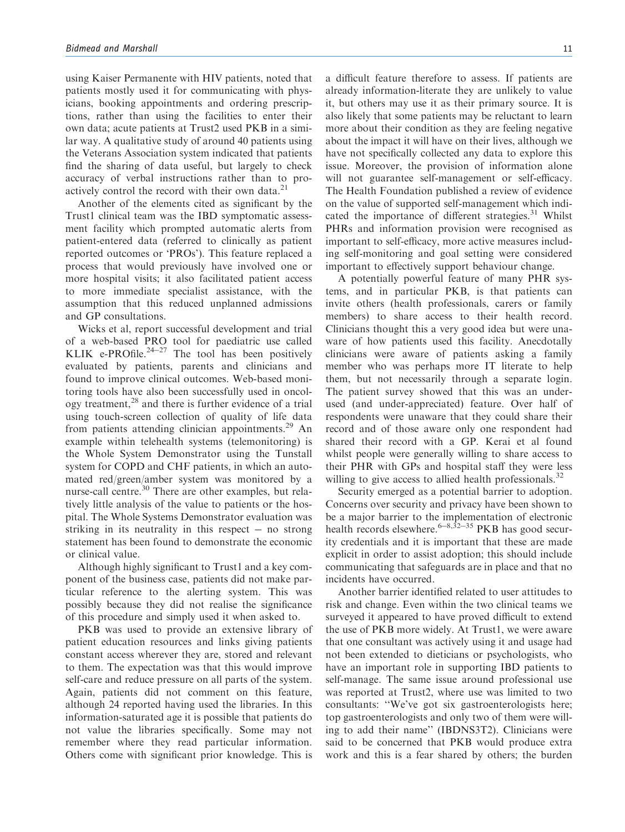using Kaiser Permanente with HIV patients, noted that patients mostly used it for communicating with physicians, booking appointments and ordering prescriptions, rather than using the facilities to enter their own data; acute patients at Trust2 used PKB in a similar way. A qualitative study of around 40 patients using the Veterans Association system indicated that patients find the sharing of data useful, but largely to check accuracy of verbal instructions rather than to proactively control the record with their own data. $^{21}$ 

Another of the elements cited as significant by the Trust1 clinical team was the IBD symptomatic assessment facility which prompted automatic alerts from patient-entered data (referred to clinically as patient reported outcomes or 'PROs'). This feature replaced a process that would previously have involved one or more hospital visits; it also facilitated patient access to more immediate specialist assistance, with the assumption that this reduced unplanned admissions and GP consultations.

Wicks et al, report successful development and trial of a web-based PRO tool for paediatric use called KLIK e-PROfile. $24-27$  The tool has been positively evaluated by patients, parents and clinicians and found to improve clinical outcomes. Web-based monitoring tools have also been successfully used in oncology treatment, $^{28}$  and there is further evidence of a trial using touch-screen collection of quality of life data from patients attending clinician appointments.<sup>29</sup> An example within telehealth systems (telemonitoring) is the Whole System Demonstrator using the Tunstall system for COPD and CHF patients, in which an automated red/green/amber system was monitored by a nurse-call centre.<sup>30</sup> There are other examples, but relatively little analysis of the value to patients or the hospital. The Whole Systems Demonstrator evaluation was striking in its neutrality in this respect  $-$  no strong statement has been found to demonstrate the economic or clinical value.

Although highly significant to Trust1 and a key component of the business case, patients did not make particular reference to the alerting system. This was possibly because they did not realise the significance of this procedure and simply used it when asked to.

PKB was used to provide an extensive library of patient education resources and links giving patients constant access wherever they are, stored and relevant to them. The expectation was that this would improve self-care and reduce pressure on all parts of the system. Again, patients did not comment on this feature, although 24 reported having used the libraries. In this information-saturated age it is possible that patients do not value the libraries specifically. Some may not remember where they read particular information. Others come with significant prior knowledge. This is a difficult feature therefore to assess. If patients are already information-literate they are unlikely to value it, but others may use it as their primary source. It is also likely that some patients may be reluctant to learn more about their condition as they are feeling negative about the impact it will have on their lives, although we have not specifically collected any data to explore this issue. Moreover, the provision of information alone will not guarantee self-management or self-efficacy. The Health Foundation published a review of evidence on the value of supported self-management which indicated the importance of different strategies.<sup>31</sup> Whilst PHRs and information provision were recognised as important to self-efficacy, more active measures including self-monitoring and goal setting were considered important to effectively support behaviour change.

A potentially powerful feature of many PHR systems, and in particular PKB, is that patients can invite others (health professionals, carers or family members) to share access to their health record. Clinicians thought this a very good idea but were unaware of how patients used this facility. Anecdotally clinicians were aware of patients asking a family member who was perhaps more IT literate to help them, but not necessarily through a separate login. The patient survey showed that this was an underused (and under-appreciated) feature. Over half of respondents were unaware that they could share their record and of those aware only one respondent had shared their record with a GP. Kerai et al found whilst people were generally willing to share access to their PHR with GPs and hospital staff they were less willing to give access to allied health professionals.<sup>32</sup>

Security emerged as a potential barrier to adoption. Concerns over security and privacy have been shown to be a major barrier to the implementation of electronic health records elsewhere.  $6-8,32-35$  PKB has good security credentials and it is important that these are made explicit in order to assist adoption; this should include communicating that safeguards are in place and that no incidents have occurred.

Another barrier identified related to user attitudes to risk and change. Even within the two clinical teams we surveyed it appeared to have proved difficult to extend the use of PKB more widely. At Trust1, we were aware that one consultant was actively using it and usage had not been extended to dieticians or psychologists, who have an important role in supporting IBD patients to self-manage. The same issue around professional use was reported at Trust2, where use was limited to two consultants: ''We've got six gastroenterologists here; top gastroenterologists and only two of them were willing to add their name'' (IBDNS3T2). Clinicians were said to be concerned that PKB would produce extra work and this is a fear shared by others; the burden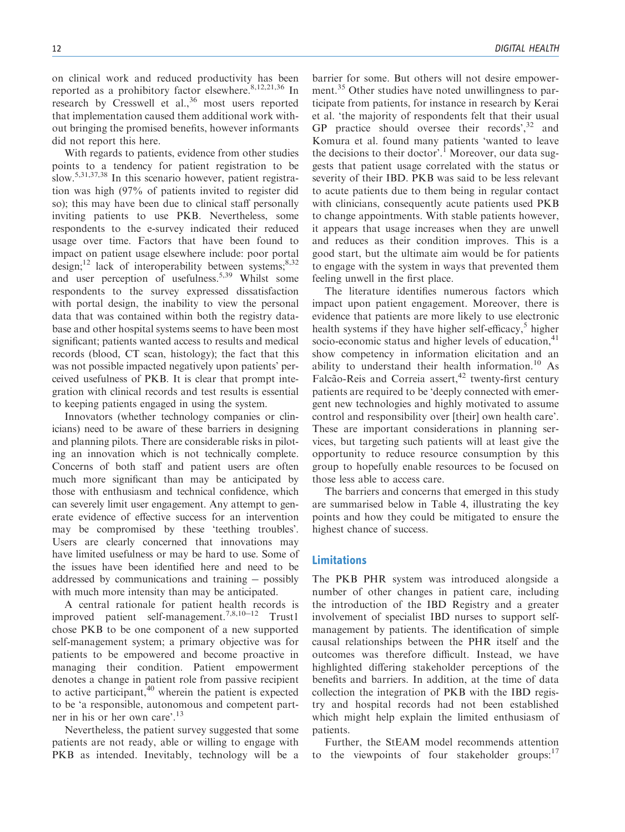on clinical work and reduced productivity has been reported as a prohibitory factor elsewhere.<sup>8,12,21,36</sup> In research by Cresswell et al.,<sup>36</sup> most users reported that implementation caused them additional work without bringing the promised benefits, however informants did not report this here.

With regards to patients, evidence from other studies points to a tendency for patient registration to be slow.<sup>5,31,37,38</sup> In this scenario however, patient registration was high (97% of patients invited to register did so); this may have been due to clinical staff personally inviting patients to use PKB. Nevertheless, some respondents to the e-survey indicated their reduced usage over time. Factors that have been found to impact on patient usage elsewhere include: poor portal design;<sup>12</sup> lack of interoperability between systems;<sup>8,32</sup> and user perception of usefulness.<sup>5,39</sup> Whilst some respondents to the survey expressed dissatisfaction with portal design, the inability to view the personal data that was contained within both the registry database and other hospital systems seems to have been most significant; patients wanted access to results and medical records (blood, CT scan, histology); the fact that this was not possible impacted negatively upon patients' perceived usefulness of PKB. It is clear that prompt integration with clinical records and test results is essential to keeping patients engaged in using the system.

Innovators (whether technology companies or clinicians) need to be aware of these barriers in designing and planning pilots. There are considerable risks in piloting an innovation which is not technically complete. Concerns of both staff and patient users are often much more significant than may be anticipated by those with enthusiasm and technical confidence, which can severely limit user engagement. Any attempt to generate evidence of effective success for an intervention may be compromised by these 'teething troubles'. Users are clearly concerned that innovations may have limited usefulness or may be hard to use. Some of the issues have been identified here and need to be addressed by communications and training – possibly with much more intensity than may be anticipated.

A central rationale for patient health records is improved patient self-management.<sup>7,8,10-12</sup> Trust1 chose PKB to be one component of a new supported self-management system; a primary objective was for patients to be empowered and become proactive in managing their condition. Patient empowerment denotes a change in patient role from passive recipient to active participant, $40$  wherein the patient is expected to be 'a responsible, autonomous and competent partner in his or her own care'.<sup>13</sup>

Nevertheless, the patient survey suggested that some patients are not ready, able or willing to engage with PKB as intended. Inevitably, technology will be a

barrier for some. But others will not desire empowerment.<sup>35</sup> Other studies have noted unwillingness to participate from patients, for instance in research by Kerai et al. 'the majority of respondents felt that their usual GP practice should oversee their records', $32$  and Komura et al. found many patients 'wanted to leave the decisions to their doctor'.<sup>1</sup> Moreover, our data suggests that patient usage correlated with the status or severity of their IBD. PKB was said to be less relevant to acute patients due to them being in regular contact with clinicians, consequently acute patients used PKB to change appointments. With stable patients however, it appears that usage increases when they are unwell and reduces as their condition improves. This is a good start, but the ultimate aim would be for patients to engage with the system in ways that prevented them feeling unwell in the first place.

The literature identifies numerous factors which impact upon patient engagement. Moreover, there is evidence that patients are more likely to use electronic health systems if they have higher self-efficacy, $5$  higher socio-economic status and higher levels of education,<sup>41</sup> show competency in information elicitation and an ability to understand their health information.<sup>10</sup> As Falcão-Reis and Correia assert,<sup>42</sup> twenty-first century patients are required to be 'deeply connected with emergent new technologies and highly motivated to assume control and responsibility over [their] own health care'. These are important considerations in planning services, but targeting such patients will at least give the opportunity to reduce resource consumption by this group to hopefully enable resources to be focused on those less able to access care.

The barriers and concerns that emerged in this study are summarised below in Table 4, illustrating the key points and how they could be mitigated to ensure the highest chance of success.

# Limitations

The PKB PHR system was introduced alongside a number of other changes in patient care, including the introduction of the IBD Registry and a greater involvement of specialist IBD nurses to support selfmanagement by patients. The identification of simple causal relationships between the PHR itself and the outcomes was therefore difficult. Instead, we have highlighted differing stakeholder perceptions of the benefits and barriers. In addition, at the time of data collection the integration of PKB with the IBD registry and hospital records had not been established which might help explain the limited enthusiasm of patients.

Further, the StEAM model recommends attention to the viewpoints of four stakeholder groups: $17$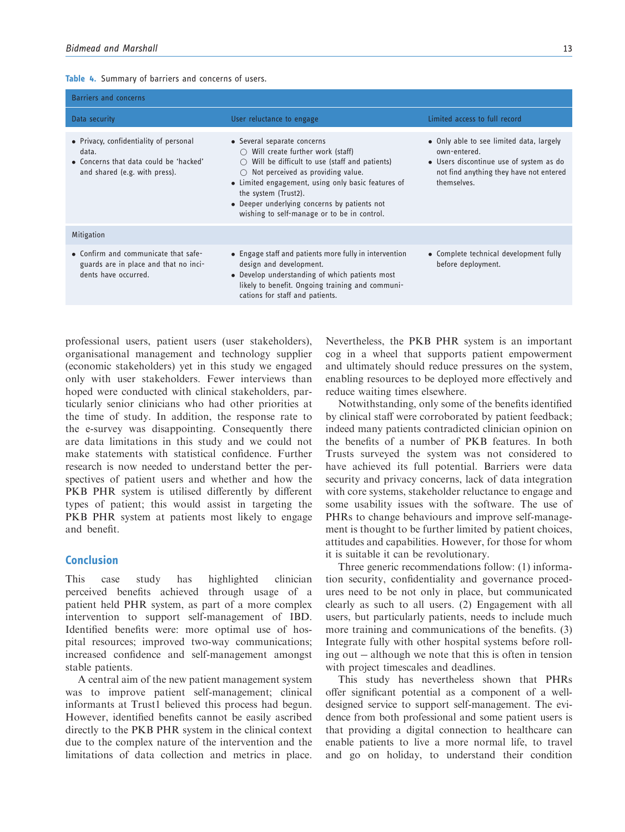Table 4. Summary of barriers and concerns of users.

| Barriers and concerns                                                                                                      |                                                                                                                                                                                                                                                                                                                                                                     |                                                                                                                                                               |
|----------------------------------------------------------------------------------------------------------------------------|---------------------------------------------------------------------------------------------------------------------------------------------------------------------------------------------------------------------------------------------------------------------------------------------------------------------------------------------------------------------|---------------------------------------------------------------------------------------------------------------------------------------------------------------|
| Data security                                                                                                              | User reluctance to engage                                                                                                                                                                                                                                                                                                                                           | Limited access to full record                                                                                                                                 |
| • Privacy, confidentiality of personal<br>data.<br>• Concerns that data could be 'hacked'<br>and shared (e.g. with press). | • Several separate concerns<br>$\bigcirc$ Will create further work (staff)<br>$\bigcirc$ Will be difficult to use (staff and patients)<br>$\bigcirc$ Not perceived as providing value.<br>• Limited engagement, using only basic features of<br>the system (Trust2).<br>• Deeper underlying concerns by patients not<br>wishing to self-manage or to be in control. | • Only able to see limited data, largely<br>own-entered.<br>• Users discontinue use of system as do<br>not find anything they have not entered<br>themselves. |
| Mitigation                                                                                                                 |                                                                                                                                                                                                                                                                                                                                                                     |                                                                                                                                                               |
| • Confirm and communicate that safe-<br>guards are in place and that no inci-<br>dents have occurred.                      | • Engage staff and patients more fully in intervention<br>design and development.<br>• Develop understanding of which patients most<br>likely to benefit. Ongoing training and communi-<br>cations for staff and patients.                                                                                                                                          | • Complete technical development fully<br>before deployment.                                                                                                  |

professional users, patient users (user stakeholders), organisational management and technology supplier (economic stakeholders) yet in this study we engaged only with user stakeholders. Fewer interviews than hoped were conducted with clinical stakeholders, particularly senior clinicians who had other priorities at the time of study. In addition, the response rate to the e-survey was disappointing. Consequently there are data limitations in this study and we could not make statements with statistical confidence. Further research is now needed to understand better the perspectives of patient users and whether and how the PKB PHR system is utilised differently by different types of patient; this would assist in targeting the PKB PHR system at patients most likely to engage and benefit.

## Conclusion

This case study has highlighted clinician perceived benefits achieved through usage of a patient held PHR system, as part of a more complex intervention to support self-management of IBD. Identified benefits were: more optimal use of hospital resources; improved two-way communications; increased confidence and self-management amongst stable patients.

A central aim of the new patient management system was to improve patient self-management; clinical informants at Trust1 believed this process had begun. However, identified benefits cannot be easily ascribed directly to the PKB PHR system in the clinical context due to the complex nature of the intervention and the limitations of data collection and metrics in place. Nevertheless, the PKB PHR system is an important cog in a wheel that supports patient empowerment and ultimately should reduce pressures on the system, enabling resources to be deployed more effectively and reduce waiting times elsewhere.

Notwithstanding, only some of the benefits identified by clinical staff were corroborated by patient feedback; indeed many patients contradicted clinician opinion on the benefits of a number of PKB features. In both Trusts surveyed the system was not considered to have achieved its full potential. Barriers were data security and privacy concerns, lack of data integration with core systems, stakeholder reluctance to engage and some usability issues with the software. The use of PHRs to change behaviours and improve self-management is thought to be further limited by patient choices, attitudes and capabilities. However, for those for whom it is suitable it can be revolutionary.

Three generic recommendations follow: (1) information security, confidentiality and governance procedures need to be not only in place, but communicated clearly as such to all users. (2) Engagement with all users, but particularly patients, needs to include much more training and communications of the benefits. (3) Integrate fully with other hospital systems before rolling out – although we note that this is often in tension with project timescales and deadlines.

This study has nevertheless shown that PHRs offer significant potential as a component of a welldesigned service to support self-management. The evidence from both professional and some patient users is that providing a digital connection to healthcare can enable patients to live a more normal life, to travel and go on holiday, to understand their condition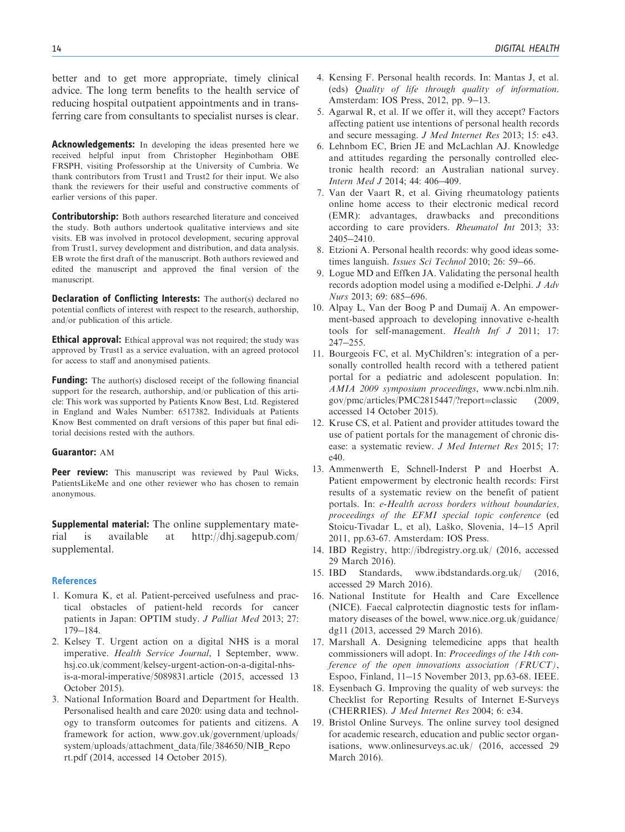better and to get more appropriate, timely clinical advice. The long term benefits to the health service of reducing hospital outpatient appointments and in transferring care from consultants to specialist nurses is clear.

**Acknowledgements:** In developing the ideas presented here we received helpful input from Christopher Heginbotham OBE FRSPH, visiting Professorship at the University of Cumbria. We thank contributors from Trust1 and Trust2 for their input. We also thank the reviewers for their useful and constructive comments of earlier versions of this paper.

Contributorship: Both authors researched literature and conceived the study. Both authors undertook qualitative interviews and site visits. EB was involved in protocol development, securing approval from Trust1, survey development and distribution, and data analysis. EB wrote the first draft of the manuscript. Both authors reviewed and edited the manuscript and approved the final version of the manuscript.

Declaration of Conflicting Interests: The author(s) declared no potential conflicts of interest with respect to the research, authorship, and/or publication of this article.

**Ethical approval:** Ethical approval was not required; the study was approved by Trust1 as a service evaluation, with an agreed protocol for access to staff and anonymised patients.

**Funding:** The author(s) disclosed receipt of the following financial support for the research, authorship, and/or publication of this article: This work was supported by Patients Know Best, Ltd. Registered in England and Wales Number: 6517382. Individuals at Patients Know Best commented on draft versions of this paper but final editorial decisions rested with the authors.

#### Guarantor: AM

Peer review: This manuscript was reviewed by Paul Wicks, PatientsLikeMe and one other reviewer who has chosen to remain anonymous.

Supplemental material: The online supplementary material is available at [http://dhj.sagepub.com/](http://dhj.sagepub.com/supplemental) [supplemental](http://dhj.sagepub.com/supplemental).

#### **References**

- 1. Komura K, et al. Patient-perceived usefulness and practical obstacles of patient-held records for cancer patients in Japan: OPTIM study. J Palliat Med 2013; 27: 179-184.
- 2. Kelsey T. Urgent action on a digital NHS is a moral imperative. Health Service Journal, 1 September, [www.](www.hsj.co.uk/comment/kelsey-urgent-action-on-a-digital-nhs-is-a-moral-imperative/5089831.article) [hsj.co.uk/comment/kelsey-urgent-action-on-a-digital-nhs](www.hsj.co.uk/comment/kelsey-urgent-action-on-a-digital-nhs-is-a-moral-imperative/5089831.article)[is-a-moral-imperative/5089831.article](www.hsj.co.uk/comment/kelsey-urgent-action-on-a-digital-nhs-is-a-moral-imperative/5089831.article) (2015, accessed 13 October 2015).
- 3. National Information Board and Department for Health. Personalised health and care 2020: using data and technology to transform outcomes for patients and citizens. A framework for action, [www.gov.uk/government/uploads/](www.gov.uk/government/uploads/system/uploads/attachment_data/file/384650/NIB_Report.pdf) [system/uploads/attachment\\_data/file/384650/NIB\\_Repo](www.gov.uk/government/uploads/system/uploads/attachment_data/file/384650/NIB_Report.pdf) [rt.pdf](www.gov.uk/government/uploads/system/uploads/attachment_data/file/384650/NIB_Report.pdf) (2014, accessed 14 October 2015).
- 4. Kensing F. Personal health records. In: Mantas J, et al. (eds) Quality of life through quality of information. Amsterdam: IOS Press, 2012, pp. 9-13.
- 5. Agarwal R, et al. If we offer it, will they accept? Factors affecting patient use intentions of personal health records and secure messaging. J Med Internet Res 2013; 15: e43.
- 6. Lehnbom EC, Brien JE and McLachlan AJ. Knowledge and attitudes regarding the personally controlled electronic health record: an Australian national survey. Intern Med J 2014; 44: 406-409.
- 7. Van der Vaart R, et al. Giving rheumatology patients online home access to their electronic medical record (EMR): advantages, drawbacks and preconditions according to care providers. Rheumatol Int 2013; 33: 2405-2410.
- 8. Etzioni A. Personal health records: why good ideas sometimes languish. Issues Sci Technol 2010; 26: 59-66.
- 9. Logue MD and Effken JA. Validating the personal health records adoption model using a modified e-Delphi. J Adv Nurs 2013; 69: 685-696.
- 10. Alpay L, Van der Boog P and Dumaij A. An empowerment-based approach to developing innovative e-health tools for self-management. Health Inf J 2011; 17: 247-255.
- 11. Bourgeois FC, et al. MyChildren's: integration of a personally controlled health record with a tethered patient portal for a pediatric and adolescent population. In: AMIA 2009 symposium proceedings, [www.ncbi.nlm.nih.](www.ncbi.nlm.nih.gov/pmc/articles/PMC2815447/?reportclassic) [gov/pmc/articles/PMC2815447/?report](www.ncbi.nlm.nih.gov/pmc/articles/PMC2815447/?reportclassic)=[classic](www.ncbi.nlm.nih.gov/pmc/articles/PMC2815447/?reportclassic) (2009, accessed 14 October 2015).
- 12. Kruse CS, et al. Patient and provider attitudes toward the use of patient portals for the management of chronic disease: a systematic review. J Med Internet Res 2015; 17: e40.
- 13. Ammenwerth E, Schnell-Inderst P and Hoerbst A. Patient empowerment by electronic health records: First results of a systematic review on the benefit of patient portals. In: e-Health across borders without boundaries, proceedings of the EFMI special topic conference (ed Stoicu-Tivadar L, et al), Laško, Slovenia, 14-15 April 2011, pp.63-67. Amsterdam: IOS Press.
- 14. IBD Registry,<http://ibdregistry.org.uk/> (2016, accessed 29 March 2016).
- 15. IBD Standards,<www.ibdstandards.org.uk/> (2016, accessed 29 March 2016).
- 16. National Institute for Health and Care Excellence (NICE). Faecal calprotectin diagnostic tests for inflammatory diseases of the bowel, [www.nice.org.uk/guidance/](www.nice.org.uk/guidance/dg11) [dg11](www.nice.org.uk/guidance/dg11) (2013, accessed 29 March 2016).
- 17. Marshall A. Designing telemedicine apps that health commissioners will adopt. In: Proceedings of the 14th conference of the open innovations association (FRUCT), Espoo, Finland, 11-15 November 2013, pp.63-68. IEEE.
- 18. Eysenbach G. Improving the quality of web surveys: the Checklist for Reporting Results of Internet E-Surveys (CHERRIES). J Med Internet Res 2004; 6: e34.
- 19. Bristol Online Surveys. The online survey tool designed for academic research, education and public sector organisations,<www.onlinesurveys.ac.uk/> (2016, accessed 29 March 2016).